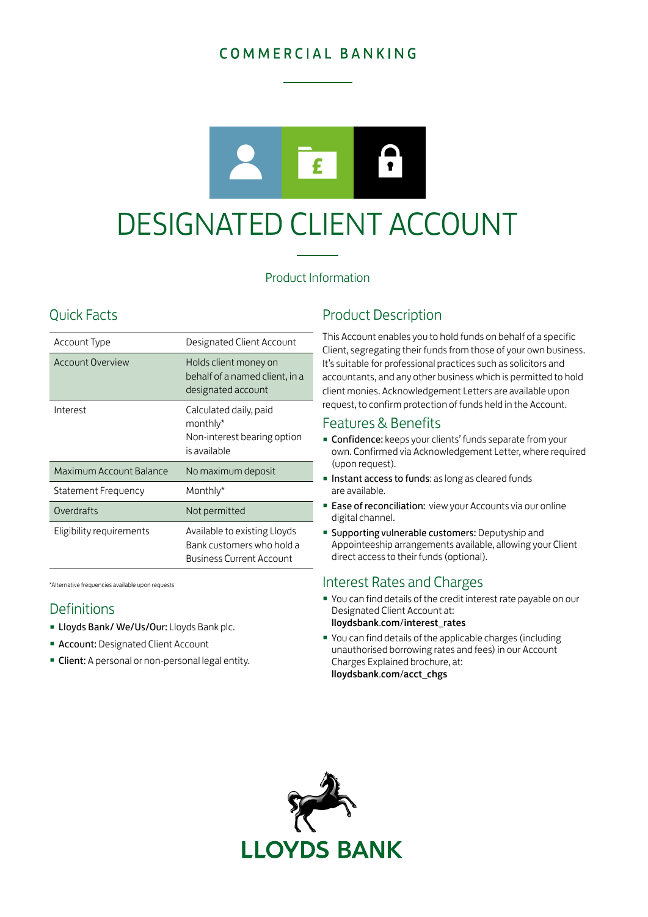# COMMERCIAL BANKING



# DESIGNATED CLIENT ACCOUNT

## Product Information

# Quick Facts

| Account Type             | Designated Client Account                                                                    |
|--------------------------|----------------------------------------------------------------------------------------------|
| Account Overview         | Holds client money on<br>behalf of a named client, in a<br>designated account                |
| Interest                 | Calculated daily, paid<br>monthly*<br>Non-interest bearing option<br>is available            |
| Maximum Account Balance  | No maximum deposit                                                                           |
| Statement Frequency      | Monthly*                                                                                     |
| Overdrafts               | Not permitted                                                                                |
| Eligibility requirements | Available to existing Lloyds<br>Bank customers who hold a<br><b>Business Current Account</b> |

\*Alternative frequencies available upon requests

## **Definitions**

- Lloyds Bank/ We/Us/Our: Lloyds Bank plc.
- **Account: Designated Client Account**
- **Client:** A personal or non-personal legal entity.

# Product Description

This Account enables you to hold funds on behalf of a specific Client, segregating their funds from those of your own business. It's suitable for professional practices such as solicitors and accountants, and any other business which is permitted to hold client monies. Acknowledgement Letters are available upon request, to confirm protection of funds held in the Account.

### Features & Benefits

- **Confidence:** keeps your clients' funds separate from your own. Confirmed via Acknowledgement Letter, where required (upon request).
- **Instant access to funds:** as long as cleared funds are available.
- **Ease of reconciliation:** view your Accounts via our online digital channel.
- **· Supporting vulnerable customers: Deputyship and** Appointeeship arrangements available, allowing your Client direct access to their funds (optional).

## Interest Rates and Charges

- You can find details of the credit interest rate payable on our Designated Client Account at: [lloydsbank](http://lloydsbank.com/interest_rates).com/interest\_rates
- You can find details of the applicable charges (including unauthorised borrowing rates and fees) in our Account Charges Explained brochure, at: [lloydsbank](http://lloydsbank.com/acct_chgs).com/acct\_chgs